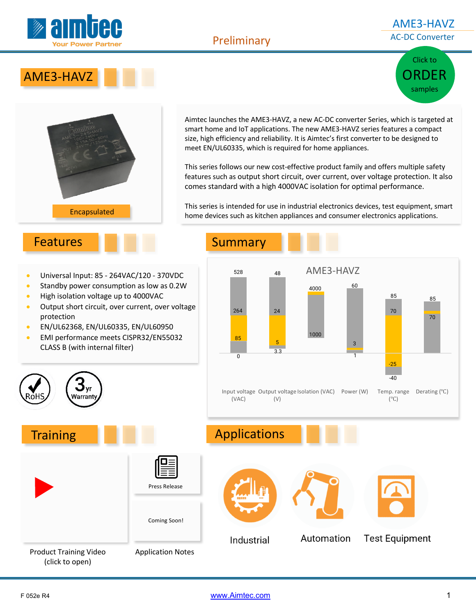

#### Preliminary

#### AME3-HAVZ AC-DC Converter

# Click to ORDER samples





Aimtec launches the AME3-HAVZ, a new AC-DC converter Series, which is targeted at smart home and IoT applications. The new AME3-HAVZ series features a compact size, high efficiency and reliability. It is Aimtec's first converter to be designed to meet EN/UL60335, which is required for home appliances.

This series follows our new cost-effective product family and offers multiple safety features such as output short circuit, over current, over voltage protection. It also comes standard with a high 4000VAC isolation for optimal performance.

This series is intended for use in industrial electronics devices, test equipment, smart home devices such as kitchen appliances and consumer electronics applications.

## Features Summary

- Universal Input: 85 264VAC/120 370VDC
- Standby power consumption as low as 0.2W
- High isolation voltage up to 4000VAC
- Output short circuit, over current, over voltage protection
- EN/UL62368, EN/UL60335, EN/UL60950

 $\mathbf{y}_\text{yr}$ **Narrant** 

• EMI performance meets CISPR32/EN55032 CLASS B (with internal filter)





F 052e R4 www.Aimtec.com 1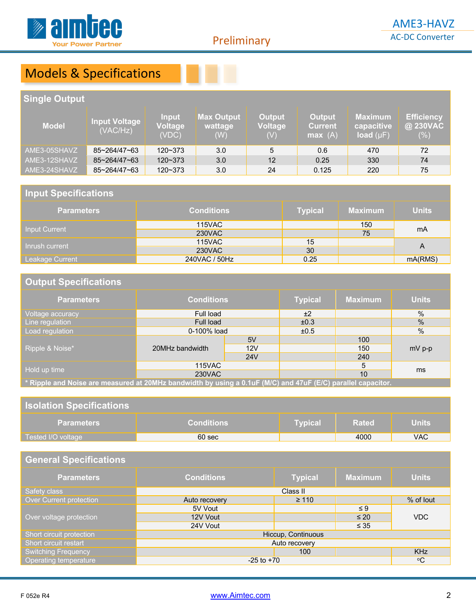

Preliminary

# Models & Specifications

### **Single Output**

| <b>Model</b> | <b>Input Voltage</b><br>(VAC/Hz) | Input<br>Voltage<br>(VDC) | <b>Max Output</b><br>wattage<br>(W) | <b>Output</b><br><b>Voltage</b><br>(V) | <b>Output</b><br><b>Current</b><br>max(A) | <b>Maximum</b><br>capacitive<br>load $(\mu F)$ | <b>Efficiency</b><br>@ 230VAC<br>$(\% )$ |
|--------------|----------------------------------|---------------------------|-------------------------------------|----------------------------------------|-------------------------------------------|------------------------------------------------|------------------------------------------|
| AME3-05SHAVZ | 85~264/47~63                     | 120~373                   | 3.0                                 | 5                                      | 0.6                                       | 470                                            | 72                                       |
| AME3-12SHAVZ | 85~264/47~63                     | $120 - 373$               | 3.0                                 | 12                                     | 0.25                                      | 330                                            | 74                                       |
| AME3-24SHAVZ | 85~264/47~63                     | $120 - 373$               | 3.0                                 | 24                                     | 0.125                                     | 220                                            | 75                                       |

#### **Input Specifications**

| <b>Parameters</b> | <b>Conditions</b> | <b>Typical</b> | <b>Maximum</b> | <b>Units</b> |  |
|-------------------|-------------------|----------------|----------------|--------------|--|
| Input Current     | <b>115VAC</b>     |                | 150            | mA           |  |
|                   | 230VAC            |                | 75             |              |  |
| Inrush current    | <b>115VAC</b>     | 15             |                | A            |  |
|                   | 230VAC            | 30             |                |              |  |
| Leakage Current   | 240VAC / 50Hz     | 0.25           |                | mA(RMS)      |  |

#### **Output Specifications**

| <b>Parameters</b>                                                                                           | <b>Conditions</b> |     | <b>Typical</b> | <b>Maximum</b> | <b>Units</b> |
|-------------------------------------------------------------------------------------------------------------|-------------------|-----|----------------|----------------|--------------|
| Voltage accuracy                                                                                            | Full load         |     | ±2             |                | $\%$         |
| Line regulation                                                                                             | Full load         |     | ±0.3           |                | $\%$         |
| Load regulation                                                                                             | 0-100% load       |     | ±0.5           |                | $\%$         |
| Ripple & Noise*                                                                                             | 20MHz bandwidth   | 5V  |                | 100            | $mV$ p-p     |
|                                                                                                             |                   | 12V |                | 150            |              |
|                                                                                                             |                   | 24V |                | 240            |              |
| Hold up time                                                                                                | 115VAC            |     |                | 5              | ms           |
|                                                                                                             | 230VAC            |     |                | 10             |              |
| * Pinnle and Noise are measured at 20MHz handwidth by using a 0 1uE (M/C) and 17uE (E/C) parallel canacitor |                   |     |                |                |              |

**\* Ripple and Noise are measured at 20MHz bandwidth by using a 0.1uF (M/C) and 47uF (E/C) parallel capacitor.**

### **Isolation Specifications**

| <b>Parameters</b>    | <b>Conditions</b> | Tvpical' | <b>Rated</b> | <b>Units</b> |
|----------------------|-------------------|----------|--------------|--------------|
| Tested I/O voltage \ | 60 <sub>sec</sub> |          | 4000         | VAC          |

### **General Specifications**

| <b>Parameters</b>          | <b>Conditions</b>  | <b>Typical</b> | <b>Maximum</b> | <b>Units</b> |
|----------------------------|--------------------|----------------|----------------|--------------|
| Safety class               |                    | Class II       |                |              |
| Over Current protection    | Auto recovery      | $\geq 110$     |                | % of lout    |
|                            | 5V Vout            |                | $\leq 9$       |              |
| Over voltage protection    | 12V Vout           |                | $\leq 20$      | VDC          |
|                            | 24V Vout           |                | $\leq 35$      |              |
| Short circuit protection   | Hiccup, Continuous |                |                |              |
| Short circuit restart      | Auto recovery      |                |                |              |
| <b>Switching Frequency</b> |                    | 100            |                | <b>KHz</b>   |
| Operating temperature      | $-25$ to $+70$     |                |                | $^{\circ}C$  |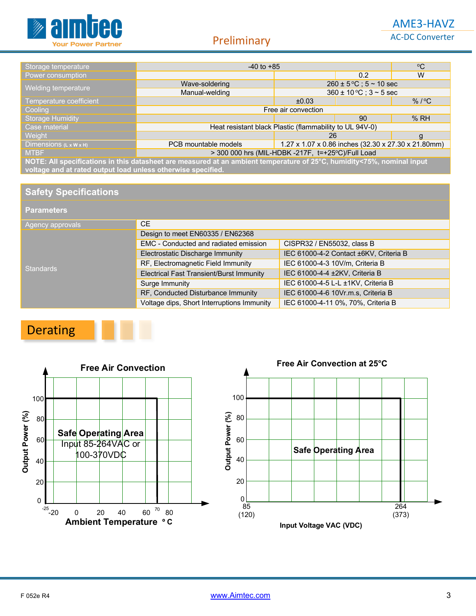

| Storage temperature                                                                                                                                                                    | $-40$ to $+85$                                                              |                                        |               | $^{\circ}C$ |
|----------------------------------------------------------------------------------------------------------------------------------------------------------------------------------------|-----------------------------------------------------------------------------|----------------------------------------|---------------|-------------|
| Power consumption                                                                                                                                                                      |                                                                             |                                        | $0.2^{\circ}$ | W           |
|                                                                                                                                                                                        | $260 \pm 5^{\circ}$ C; $5 \sim 10$ sec<br>Wave-soldering                    |                                        |               |             |
| Welding temperature                                                                                                                                                                    | Manual-welding                                                              | $360 \pm 10^{\circ}$ C; $3 \sim 5$ sec |               |             |
| Temperature coefficient                                                                                                                                                                |                                                                             | $\%$ / $\degree$ C<br>±0.03            |               |             |
| Cooling                                                                                                                                                                                | Free air convection                                                         |                                        |               |             |
| <b>Storage Humidity</b>                                                                                                                                                                |                                                                             |                                        | 90            | %RH         |
| Case material                                                                                                                                                                          | Heat resistant black Plastic (flammability to UL 94V-0)                     |                                        |               |             |
| Weight                                                                                                                                                                                 | 26<br>g                                                                     |                                        |               |             |
| Dimensions $(L \times W \times H)$                                                                                                                                                     | 1.27 x 1.07 x 0.86 inches (32.30 x 27.30 x 21.80mm)<br>PCB mountable models |                                        |               |             |
| <b>MTBF</b>                                                                                                                                                                            | > 300 000 hrs (MIL-HDBK -217F, t=+25°C)/Full Load                           |                                        |               |             |
| NOTE: All specifications in this datasheet are measured at an ambient temperature of 25°C, humidity<75%, nominal input<br>voltage and at rated output load unless otherwise specified. |                                                                             |                                        |               |             |

**Safety Specifications**

#### **Parameters**

| Agency approvals | CE.                                             |                                        |  |  |
|------------------|-------------------------------------------------|----------------------------------------|--|--|
|                  | Design to meet EN60335 / EN62368                |                                        |  |  |
|                  | EMC - Conducted and radiated emission           | CISPR32 / EN55032, class B             |  |  |
|                  | Electrostatic Discharge Immunity                | IEC 61000-4-2 Contact ±6KV, Criteria B |  |  |
| Standards        | RF, Electromagnetic Field Immunity              | IEC 61000-4-3 10V/m, Criteria B        |  |  |
|                  | <b>Electrical Fast Transient/Burst Immunity</b> | IEC 61000-4-4 ±2KV, Criteria B         |  |  |
|                  | Surge Immunity                                  | IEC 61000-4-5 L-L ±1KV, Criteria B     |  |  |
|                  | RF, Conducted Disturbance Immunity              | IEC 61000-4-6 10Vr.m.s, Criteria B     |  |  |
|                  | Voltage dips, Short Interruptions Immunity      | IEC 61000-4-11 0%, 70%, Criteria B     |  |  |

# Derating